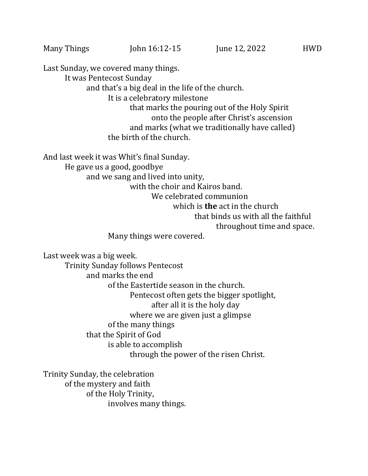Last Sunday, we covered many things. It was Pentecost Sunday and that's a big deal in the life of the church. It is a celebratory milestone that marks the pouring out of the Holy Spirit onto the people after Christ's ascension and marks (what we traditionally have called) the birth of the church.

And last week it was Whit's final Sunday.

He gave us a good, goodbye

and we sang and lived into unity,

with the choir and Kairos band.

We celebrated communion

which is **the** act in the church

that binds us with all the faithful

throughout time and space.

Many things were covered.

Last week was a big week. Trinity Sunday follows Pentecost and marks the end of the Eastertide season in the church. Pentecost often gets the bigger spotlight, after all it is the holy day where we are given just a glimpse of the many things that the Spirit of God is able to accomplish through the power of the risen Christ.

Trinity Sunday, the celebration of the mystery and faith of the Holy Trinity, involves many things.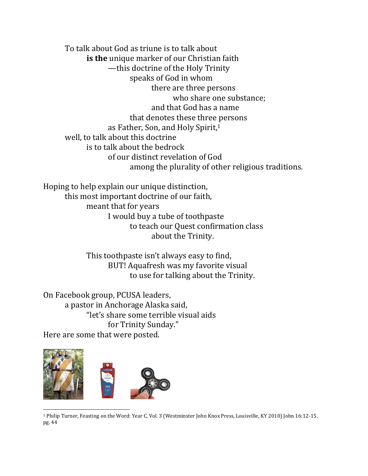To talk about God as triune is to talk about **is the** unique marker of our Christian faith —this doctrine of the Holy Trinity speaks of God in whom there are three persons who share one substance; and that God has a name that denotes these three persons as Father, Son, and Holy Spirit,<sup>1</sup> well, to talk about this doctrine is to talk about the bedrock of our distinct revelation of God among the plurality of other religious traditions.

Hoping to help explain our unique distinction, this most important doctrine of our faith, meant that for years I would buy a tube of toothpaste to teach our Quest confirmation class about the Trinity.

> This toothpaste isn't always easy to find, BUT! Aquafresh was my favorite visual to use for talking about the Trinity.

On Facebook group, PCUSA leaders, a pastor in Anchorage Alaska said, "let's share some terrible visual aids for Trinity Sunday." Here are some that were posted.



<sup>1</sup> Philip Turner, Feasting on the Word: Year C, Vol. 3 (Westminster John Knox Press, Louisville, KY 2010) John 16:12-15, pg. 44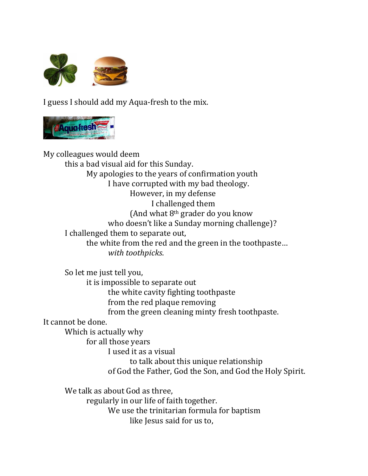

I guess I should add my Aqua-fresh to the mix.



My colleagues would deem this a bad visual aid for this Sunday. My apologies to the years of confirmation youth I have corrupted with my bad theology. However, in my defense I challenged them (And what  $8<sup>th</sup>$  grader do you know who doesn't like a Sunday morning challenge)? I challenged them to separate out, the white from the red and the green in the toothpaste… *with toothpicks*. So let me just tell you, it is impossible to separate out the white cavity fighting toothpaste from the red plaque removing from the green cleaning minty fresh toothpaste. It cannot be done.

Which is actually why

for all those years

I used it as a visual

to talk about this unique relationship of God the Father, God the Son, and God the Holy Spirit.

We talk as about God as three, regularly in our life of faith together. We use the trinitarian formula for baptism like Jesus said for us to,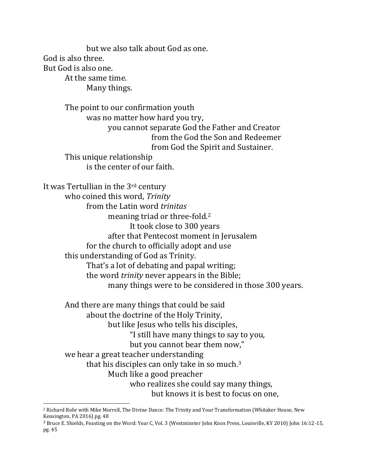but we also talk about God as one. God is also three. But God is also one. At the same time. Many things.

> The point to our confirmation youth was no matter how hard you try, you cannot separate God the Father and Creator from the God the Son and Redeemer from God the Spirit and Sustainer. This unique relationship is the center of our faith.

It was Tertullian in the 3rd century who coined this word, *Trinity* from the Latin word *trinitas* meaning triad or three-fold.<sup>2</sup> It took close to 300 years after that Pentecost moment in Jerusalem for the church to officially adopt and use this understanding of God as Trinity. That's a lot of debating and papal writing; the word *trinity* never appears in the Bible; many things were to be considered in those 300 years.

And there are many things that could be said about the doctrine of the Holy Trinity, but like Jesus who tells his disciples, "I still have many things to say to you, but you cannot bear them now," we hear a great teacher understanding that his disciples can only take in so much.<sup>3</sup> Much like a good preacher who realizes she could say many things, but knows it is best to focus on one,

<sup>2</sup> Richard Rohr with Mike Morrell, The Divine Dance: The Trinity and Your Transformation (Whitaker House, New Kensington, PA 2016) pg. 48

<sup>3</sup> Bruce E. Shields, Feasting on the Word: Year C, Vol. 3 (Westminster John Knox Press, Louisville, KY 2010) John 16:12-15, pg. 45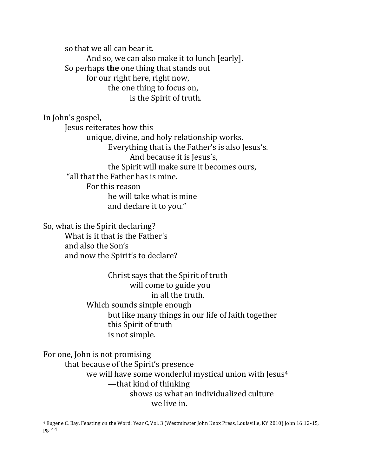so that we all can bear it. And so, we can also make it to lunch [early]. So perhaps **the** one thing that stands out for our right here, right now, the one thing to focus on, is the Spirit of truth.

In John's gospel, Jesus reiterates how this unique, divine, and holy relationship works. Everything that is the Father's is also Jesus's. And because it is Jesus's, the Spirit will make sure it becomes ours, "all that the Father has is mine. For this reason he will take what is mine and declare it to you."

So, what is the Spirit declaring? What is it that is the Father's and also the Son's and now the Spirit's to declare?

> Christ says that the Spirit of truth will come to guide you in all the truth. Which sounds simple enough but like many things in our life of faith together this Spirit of truth is not simple.

For one, John is not promising that because of the Spirit's presence we will have some wonderful mystical union with Jesus<sup>4</sup> —that kind of thinking shows us what an individualized culture we live in.

<sup>4</sup> Eugene C. Bay, Feasting on the Word: Year C, Vol. 3 (Westminster John Knox Press, Louisville, KY 2010) John 16:12-15, pg. 44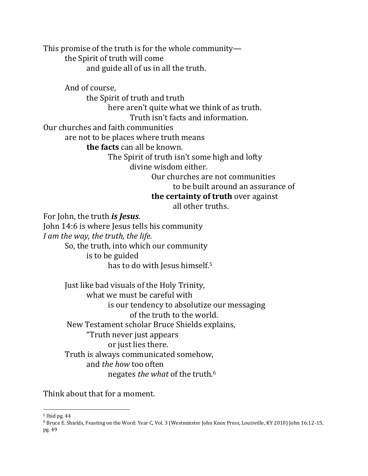This promise of the truth is for the whole community the Spirit of truth will come and guide all of us in all the truth.

And of course,

the Spirit of truth and truth

here aren't quite what we think of as truth.

Truth isn't facts and information.

Our churches and faith communities

are not to be places where truth means

**the facts** can all be known.

The Spirit of truth isn't some high and lofty

divine wisdom either.

Our churches are not communities to be built around an assurance of **the certainty of truth** over against

all other truths.

For John, the truth *is Jesus*. John 14:6 is where Jesus tells his community *I am the way, the truth, the life.*  So, the truth, into which our community is to be guided has to do with Jesus himself. 5

> Just like bad visuals of the Holy Trinity, what we must be careful with is our tendency to absolutize our messaging of the truth to the world. New Testament scholar Bruce Shields explains, "Truth never just appears or just lies there. Truth is always communicated somehow, and *the how* too often negates *the what* of the truth.<sup>6</sup>

Think about that for a moment.

<sup>5</sup> Ibid pg. 44

<sup>6</sup> Bruce E. Shields, Feasting on the Word: Year C, Vol. 3 (Westminster John Knox Press, Louisville, KY 2010) John 16:12-15, pg. 49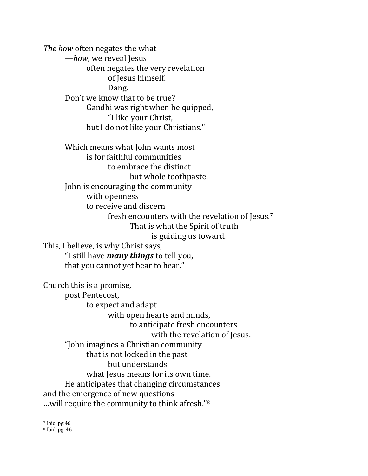*The how* often negates the what —*how*, we reveal Jesus often negates the very revelation of Jesus himself. Dang. Don't we know that to be true? Gandhi was right when he quipped, "I like your Christ, but I do not like your Christians." Which means what John wants most is for faithful communities to embrace the distinct but whole toothpaste. John is encouraging the community with openness to receive and discern fresh encounters with the revelation of Jesus.<sup>7</sup> That is what the Spirit of truth is guiding us toward. This, I believe, is why Christ says, "I still have *many things* to tell you, that you cannot yet bear to hear."

Church this is a promise, post Pentecost, to expect and adapt with open hearts and minds, to anticipate fresh encounters with the revelation of Jesus. "John imagines a Christian community that is not locked in the past but understands what Jesus means for its own time. He anticipates that changing circumstances and the emergence of new questions …will require the community to think afresh."<sup>8</sup>

<sup>7</sup> Ibid, pg.46

<sup>8</sup> Ibid, pg. 46